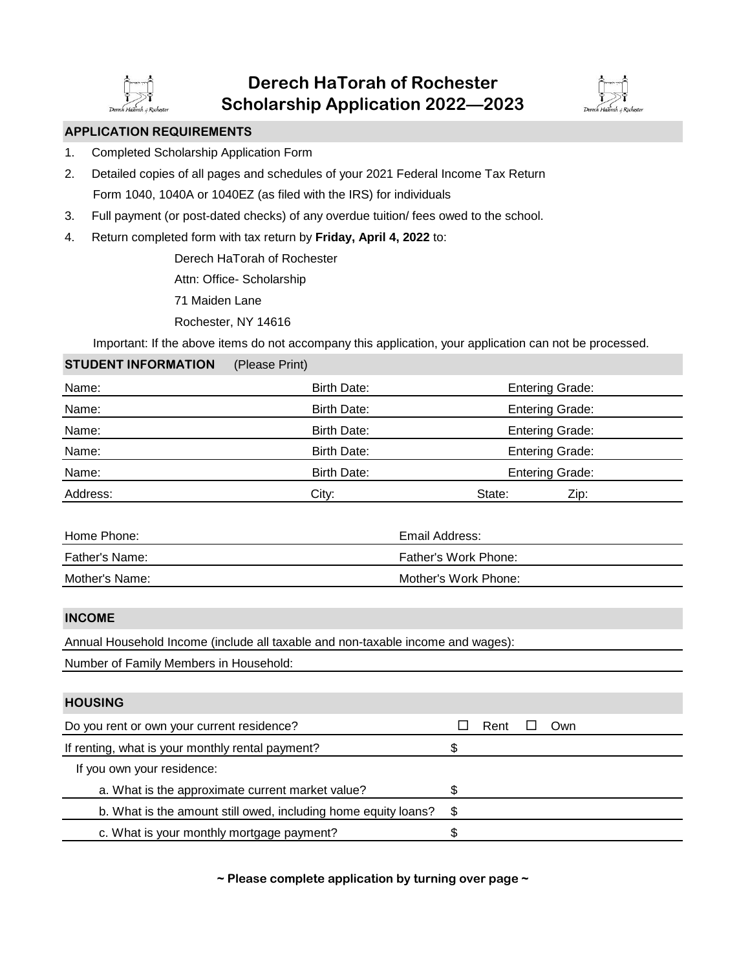



## **APPLICATION REQUIREMENTS**

- 1. Completed Scholarship Application Form
- 2. Detailed copies of all pages and schedules of your 2021 Federal Income Tax Return Form 1040, 1040A or 1040EZ (as filed with the IRS) for individuals
- 3. Full payment (or post-dated checks) of any overdue tuition/ fees owed to the school.
- 4. Return completed form with tax return by **Friday, April 4, 2022** to:

Derech HaTorah of Rochester

Attn: Office- Scholarship

71 Maiden Lane

Rochester, NY 14616

Important: If the above items do not accompany this application, your application can not be processed.

## **STUDENT INFORMATION** (Please Print)

| Name:    | <b>Entering Grade:</b><br>Birth Date: |                        |  |  |
|----------|---------------------------------------|------------------------|--|--|
| Name:    | Birth Date:                           | <b>Entering Grade:</b> |  |  |
| Name:    | Birth Date:                           | <b>Entering Grade:</b> |  |  |
| Name:    | Birth Date:                           | <b>Entering Grade:</b> |  |  |
| Name:    | Birth Date:                           | <b>Entering Grade:</b> |  |  |
| Address: | City:                                 | Zip:<br>State:         |  |  |

| Home Phone:    | Email Address:       |
|----------------|----------------------|
| Father's Name: | Father's Work Phone: |
| Mother's Name: | Mother's Work Phone: |

### **INCOME**

Annual Household Income (include all taxable and non-taxable income and wages):

Number of Family Members in Household:

# **HOUSING** Do you rent or own your current residence? The Rent Own If renting, what is your monthly rental payment?  $\$ If you own your residence:

- a. What is the approximate current market value?  $\$\$
- b. What is the amount still owed, including home equity loans? \$
- c. What is your monthly mortgage payment?  $\$

**~ Please complete application by turning over page ~**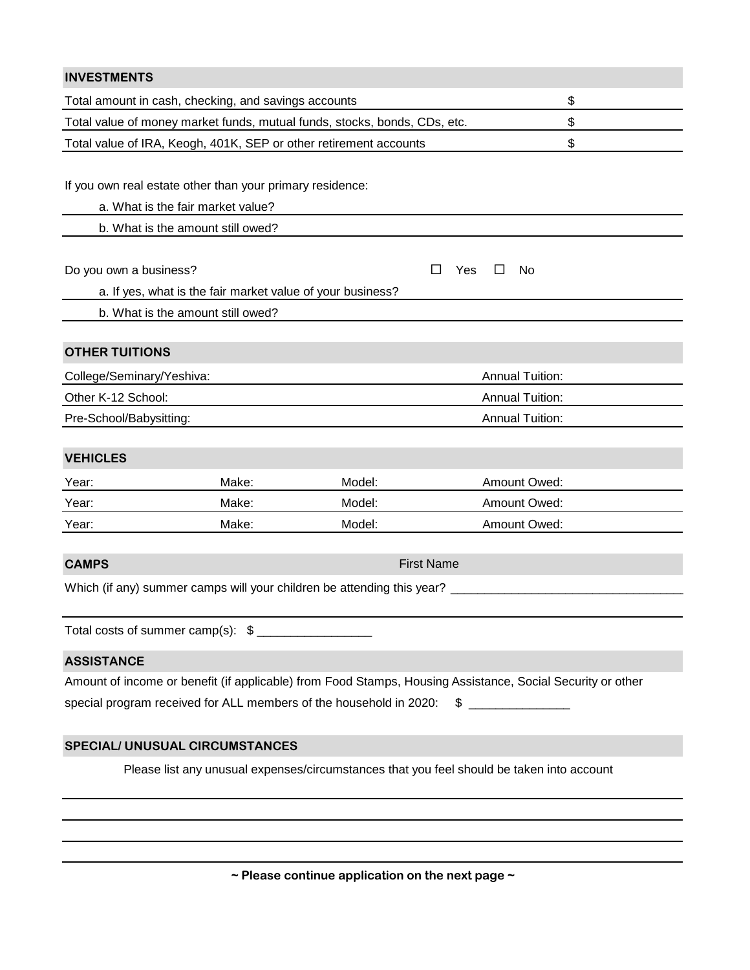| <b>INVESTMENTS</b>                                                                        |                                                            |                   |                                                                                                            |  |  |  |  |  |
|-------------------------------------------------------------------------------------------|------------------------------------------------------------|-------------------|------------------------------------------------------------------------------------------------------------|--|--|--|--|--|
| Total amount in cash, checking, and savings accounts                                      | \$                                                         |                   |                                                                                                            |  |  |  |  |  |
| Total value of money market funds, mutual funds, stocks, bonds, CDs, etc.                 | \$                                                         |                   |                                                                                                            |  |  |  |  |  |
| \$<br>Total value of IRA, Keogh, 401K, SEP or other retirement accounts                   |                                                            |                   |                                                                                                            |  |  |  |  |  |
|                                                                                           |                                                            |                   |                                                                                                            |  |  |  |  |  |
|                                                                                           | If you own real estate other than your primary residence:  |                   |                                                                                                            |  |  |  |  |  |
| a. What is the fair market value?                                                         |                                                            |                   |                                                                                                            |  |  |  |  |  |
| b. What is the amount still owed?                                                         |                                                            |                   |                                                                                                            |  |  |  |  |  |
|                                                                                           |                                                            |                   |                                                                                                            |  |  |  |  |  |
| Do you own a business?                                                                    |                                                            | Yes<br>ΙI         | $\Box$<br>No                                                                                               |  |  |  |  |  |
|                                                                                           | a. If yes, what is the fair market value of your business? |                   |                                                                                                            |  |  |  |  |  |
| b. What is the amount still owed?                                                         |                                                            |                   |                                                                                                            |  |  |  |  |  |
| <b>OTHER TUITIONS</b>                                                                     |                                                            |                   |                                                                                                            |  |  |  |  |  |
| College/Seminary/Yeshiva:                                                                 |                                                            |                   | <b>Annual Tuition:</b>                                                                                     |  |  |  |  |  |
| Other K-12 School:                                                                        |                                                            |                   | <b>Annual Tuition:</b>                                                                                     |  |  |  |  |  |
| Pre-School/Babysitting:                                                                   |                                                            |                   | <b>Annual Tuition:</b>                                                                                     |  |  |  |  |  |
|                                                                                           |                                                            |                   |                                                                                                            |  |  |  |  |  |
| <b>VEHICLES</b>                                                                           |                                                            |                   |                                                                                                            |  |  |  |  |  |
| Year:                                                                                     | Make:                                                      | Model:            | Amount Owed:                                                                                               |  |  |  |  |  |
| Year:                                                                                     | Make:                                                      | Model:            | Amount Owed:                                                                                               |  |  |  |  |  |
| Year:                                                                                     | Make:                                                      | Model:            | Amount Owed:                                                                                               |  |  |  |  |  |
|                                                                                           |                                                            |                   |                                                                                                            |  |  |  |  |  |
| <b>CAMPS</b>                                                                              |                                                            | <b>First Name</b> |                                                                                                            |  |  |  |  |  |
| Which (if any) summer camps will your children be attending this year?                    |                                                            |                   |                                                                                                            |  |  |  |  |  |
|                                                                                           |                                                            |                   |                                                                                                            |  |  |  |  |  |
| Total costs of summer camp(s): \$                                                         |                                                            |                   |                                                                                                            |  |  |  |  |  |
| <b>ASSISTANCE</b>                                                                         |                                                            |                   |                                                                                                            |  |  |  |  |  |
|                                                                                           |                                                            |                   | Amount of income or benefit (if applicable) from Food Stamps, Housing Assistance, Social Security or other |  |  |  |  |  |
| special program received for ALL members of the household in 2020:                        |                                                            | \$                |                                                                                                            |  |  |  |  |  |
| <b>SPECIAL/ UNUSUAL CIRCUMSTANCES</b>                                                     |                                                            |                   |                                                                                                            |  |  |  |  |  |
| Please list any unusual expenses/circumstances that you feel should be taken into account |                                                            |                   |                                                                                                            |  |  |  |  |  |
|                                                                                           |                                                            |                   |                                                                                                            |  |  |  |  |  |
|                                                                                           |                                                            |                   |                                                                                                            |  |  |  |  |  |
|                                                                                           |                                                            |                   |                                                                                                            |  |  |  |  |  |

**~ Please continue application on the next page ~**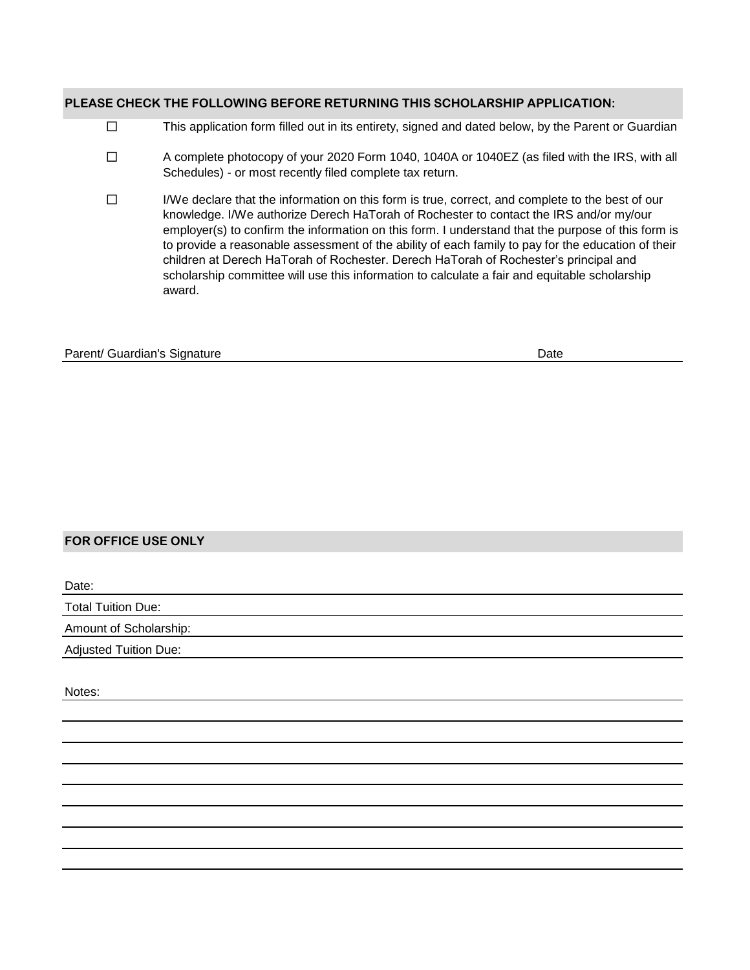### **PLEASE CHECK THE FOLLOWING BEFORE RETURNING THIS SCHOLARSHIP APPLICATION:**

- $\Box$ This application form filled out in its entirety, signed and dated below, by the Parent or Guardian
- A complete photocopy of your 2020 Form 1040, 1040A or 1040EZ (as filed with the IRS, with all Schedules) - or most recently filed complete tax return.  $\Box$
- I/We declare that the information on this form is true, correct, and complete to the best of our knowledge. I/We authorize Derech HaTorah of Rochester to contact the IRS and/or my/our employer(s) to confirm the information on this form. I understand that the purpose of this form is to provide a reasonable assessment of the ability of each family to pay for the education of their children at Derech HaTorah of Rochester. Derech HaTorah of Rochester's principal and scholarship committee will use this information to calculate a fair and equitable scholarship award.  $\Box$

#### Parent/ Guardian's Signature **Date** Date of Parent/ Guardian's Signature Date **Date**

# **FOR OFFICE USE ONLY**

| Date:                     |  |
|---------------------------|--|
| <b>Total Tuition Due:</b> |  |
| Amount of Scholarship:    |  |
| Adjusted Tuition Due:     |  |

Notes: